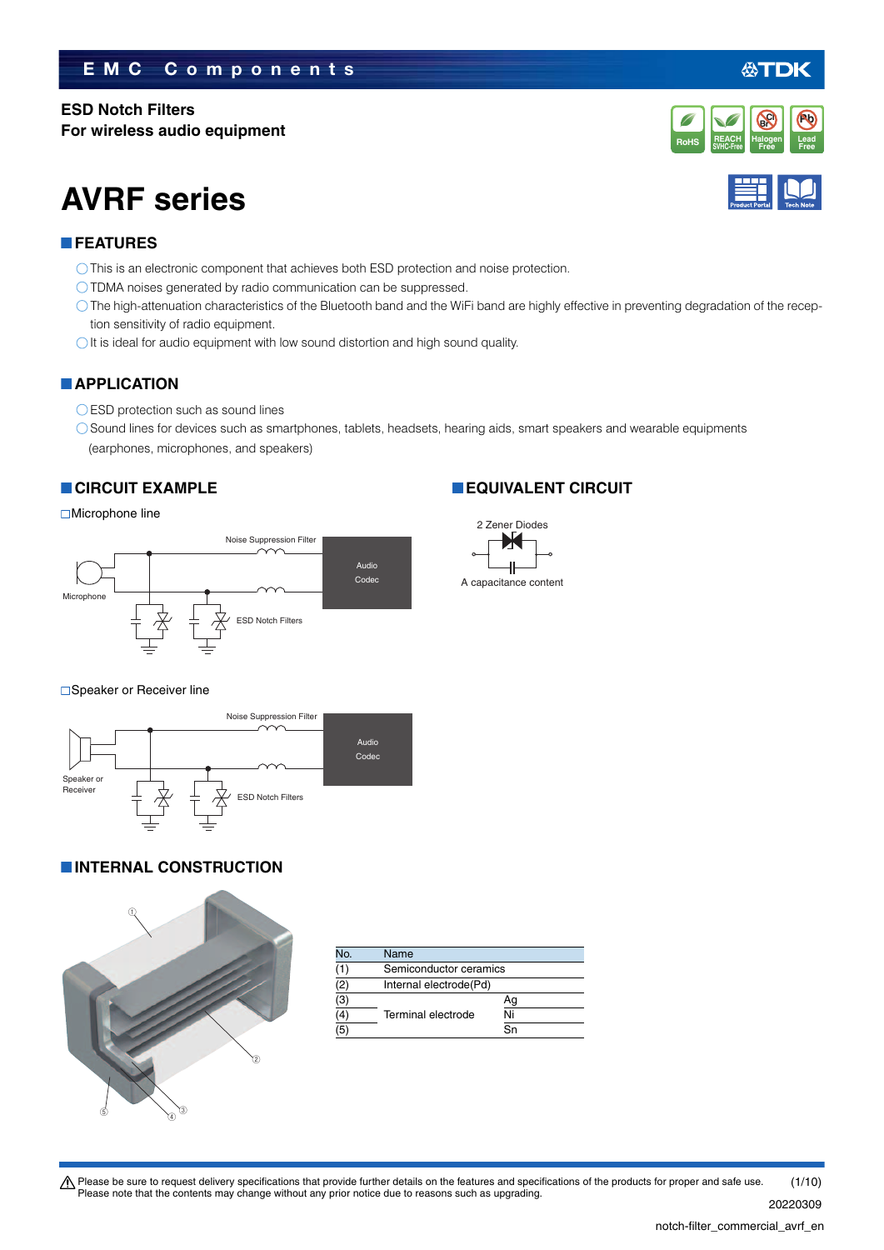# **EMC Components**

# **ESD Notch Filters**

**For wireless audio equipment**

# **AVRF series**

# **FEATURES**

- This is an electronic component that achieves both ESD protection and noise protection.
- TDMA noises generated by radio communication can be suppressed.
- The high-attenuation characteristics of the Bluetooth band and the WiFi band are highly effective in preventing degradation of the reception sensitivity of radio equipment.
- $\bigcirc$  It is ideal for audio equipment with low sound distortion and high sound quality.

# **APPLICATION**

- ◯ ESD protection such as sound lines
- Sound lines for devices such as smartphones, tablets, headsets, hearing aids, smart speakers and wearable equipments (earphones, microphones, and speakers)

# **CIRCUIT EXAMPLE**

# ■Microphone line



# **EQUIVALENT CIRCUIT**



### ■Speaker or Receiver line



# **INTERNAL CONSTRUCTION**



| No.               | Name               |                        |  |  |
|-------------------|--------------------|------------------------|--|--|
| (1)               |                    | Semiconductor ceramics |  |  |
| (2)               |                    | Internal electrode(Pd) |  |  |
| $\frac{(3)}{(4)}$ |                    | Ag                     |  |  |
|                   | Terminal electrode | Ni                     |  |  |
| $\overline{(5)}$  |                    | Sn                     |  |  |





**Halogen**

**Br Cl**

必TDK

**Pb**

t Please be sure to request delivery specifications that provide further details on the features and specifications of the products for proper and safe use. Please note that the contents may change without any prior notice due to reasons such as upgrading. 20220309 (1/10)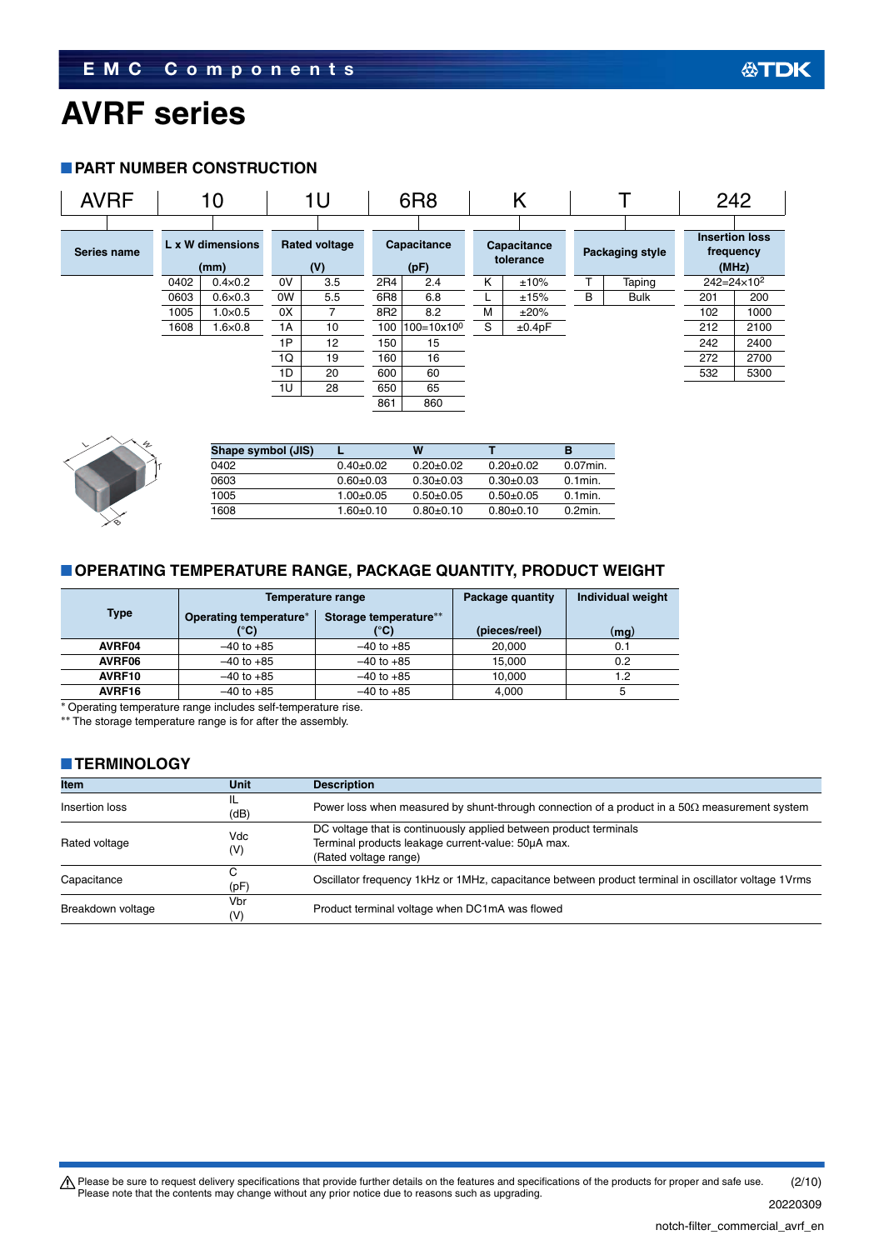## **PART NUMBER CONSTRUCTION**





| Shape symbol (JIS) |               | w             |               | в           |
|--------------------|---------------|---------------|---------------|-------------|
| 0402               | $0.40+0.02$   | $0.20 + 0.02$ | $0.20+0.02$   | $0.07$ min. |
| 0603               | $0.60 + 0.03$ | $0.30+0.03$   | $0.30+0.03$   | $0.1$ min.  |
| 1005               | $1.00+0.05$   | $0.50+0.05$   | $0.50 + 0.05$ | $0.1$ min.  |
| 1608               | 1.60±0.10     | $0.80 + 0.10$ | $0.80+0.10$   | $0.2$ min.  |

# **OPERATING TEMPERATURE RANGE, PACKAGE QUANTITY, PRODUCT WEIGHT**

|                           |                        | Temperature range     | Package quantity | <b>Individual weight</b> |
|---------------------------|------------------------|-----------------------|------------------|--------------------------|
| <b>Type</b>               | Operating temperature* | Storage temperature** |                  |                          |
|                           | (°C)                   | (°C)                  | (pieces/reel)    | (mg)                     |
| AVRF04                    | $-40$ to $+85$         | $-40$ to $+85$        | 20,000           | 0.1                      |
| AVRF06                    | $-40$ to $+85$         | $-40$ to $+85$        | 15.000           | 0.2                      |
| AVRF10                    | $-40$ to $+85$         | $-40$ to $+85$        | 10.000           | 1.2                      |
| AVRF16                    | $-40$ to $+85$         | $-40$ to $+85$        | 4.000            | 5                        |
| $\sim$ $\sim$<br>$\cdots$ | .<br>$\cdots$          |                       |                  |                          |

Operating temperature range includes self-temperature rise.

\*\* The storage temperature range is for after the assembly.

## **TERMINOLOGY**

| <b>Item</b>       | <b>Unit</b>           | <b>Description</b>                                                                                                                               |
|-------------------|-----------------------|--------------------------------------------------------------------------------------------------------------------------------------------------|
| Insertion loss    | IL<br>(dB)            | Power loss when measured by shunt-through connection of a product in a $50\Omega$ measurement system                                             |
| Rated voltage     | Vdc<br>(V)            | DC voltage that is continuously applied between product terminals<br>Terminal products leakage current-value: 50uA max.<br>(Rated voltage range) |
| Capacitance       | (pF)                  | Oscillator frequency 1kHz or 1MHz, capacitance between product terminal in oscillator voltage 1Vrms                                              |
| Breakdown voltage | Vbr<br>$(\mathsf{V})$ | Product terminal voltage when DC1mA was flowed                                                                                                   |

Please be sure to request delivery specifications that provide further details on the features and specifications of the products for proper and safe use.<br>Please note that the contents may change without any prior notice d (2/10)

公TDK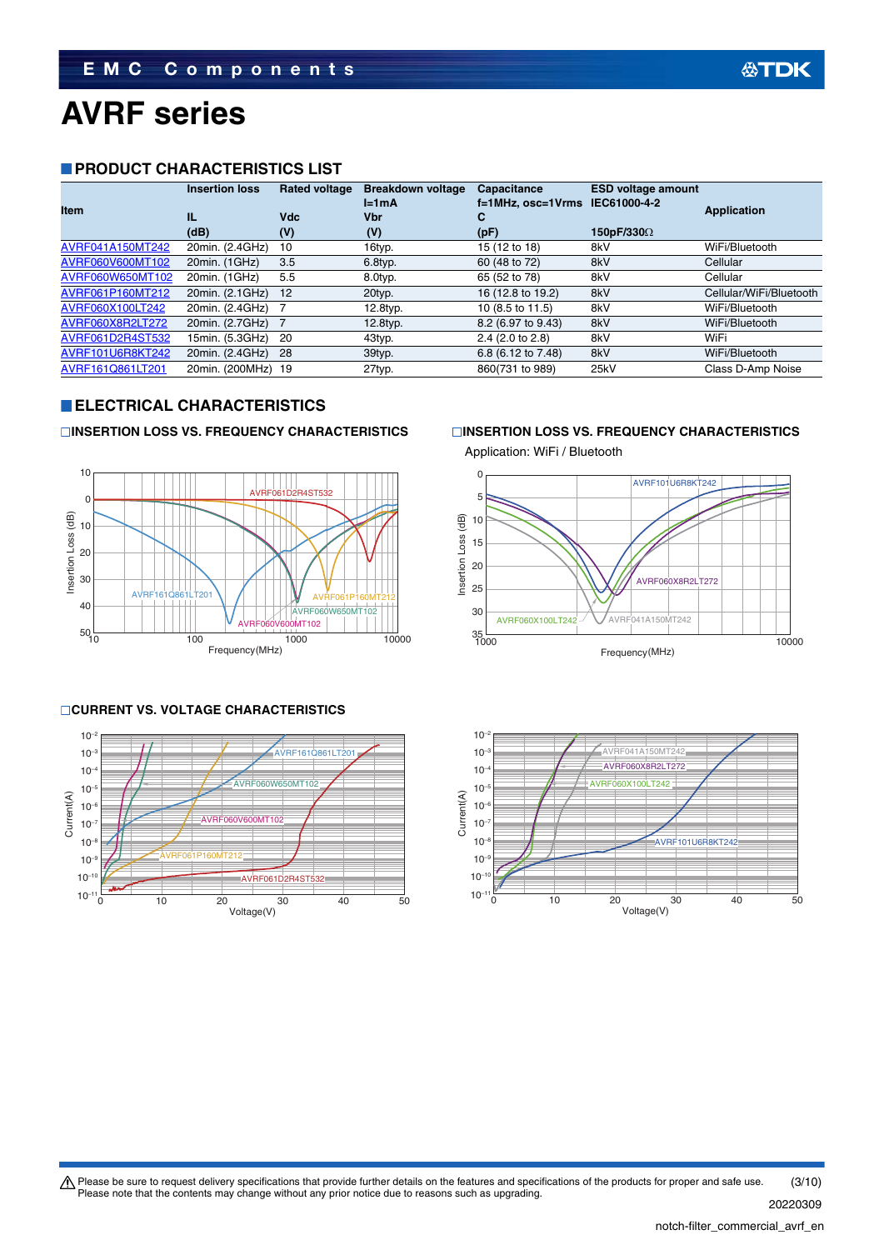## **PRODUCT CHARACTERISTICS LIST**

| <b>Item</b>      | <b>Insertion loss</b><br>IL | <b>Rated voltage</b><br>Vdc | <b>Breakdown voltage</b><br>$l = 1mA$<br><b>Vbr</b> | Capacitance<br>f=1MHz, osc=1Vrms IEC61000-4-2<br>С | <b>ESD voltage amount</b> | <b>Application</b>      |
|------------------|-----------------------------|-----------------------------|-----------------------------------------------------|----------------------------------------------------|---------------------------|-------------------------|
|                  | (dB)                        | (V)                         | (V)                                                 | (pF)                                               | 150pF/330Ω                |                         |
| AVRF041A150MT242 | 20min. (2.4GHz)             | 10                          | 16typ.                                              | 15 (12 to 18)                                      | 8kV                       | WiFi/Bluetooth          |
| AVRF060V600MT102 | 20min. (1GHz)               | 3.5                         | 6.8typ.                                             | 60 (48 to 72)                                      | 8kV                       | Cellular                |
| AVRF060W650MT102 | 20min. (1GHz)               | 5.5                         | 8.0typ.                                             | 65 (52 to 78)                                      | 8kV                       | Cellular                |
| AVRF061P160MT212 | 20min. (2.1GHz)             | 12                          | 20typ.                                              | 16 (12.8 to 19.2)                                  | 8kV                       | Cellular/WiFi/Bluetooth |
| AVRF060X100LT242 | 20min. (2.4GHz)             |                             | 12.8typ.                                            | 10 (8.5 to 11.5)                                   | 8kV                       | WiFi/Bluetooth          |
| AVRF060X8R2LT272 | 20min. (2.7GHz)             |                             | 12.8typ.                                            | 8.2 (6.97 to 9.43)                                 | 8kV                       | WiFi/Bluetooth          |
| AVRF061D2R4ST532 | 15min. (5.3GHz)             | 20                          | 43typ.                                              | 2.4 (2.0 to 2.8)                                   | 8kV                       | WiFi                    |
| AVRF101U6R8KT242 | 20min. (2.4GHz)             | 28                          | 39typ.                                              | 6.8 (6.12 to 7.48)                                 | 8kV                       | WiFi/Bluetooth          |
| AVRF161Q861LT201 | 20min. (200MHz)             | -19                         | 27typ.                                              | 860(731 to 989)                                    | 25kV                      | Class D-Amp Noise       |

# **ELECTRICAL CHARACTERISTICS**



# **CURRENT VS. VOLTAGE CHARACTERISTICS**



## **INSERTION LOSS VS. FREQUENCY CHARACTERISTICS INSERTION LOSS VS. FREQUENCY CHARACTERISTICS**





**公TDK**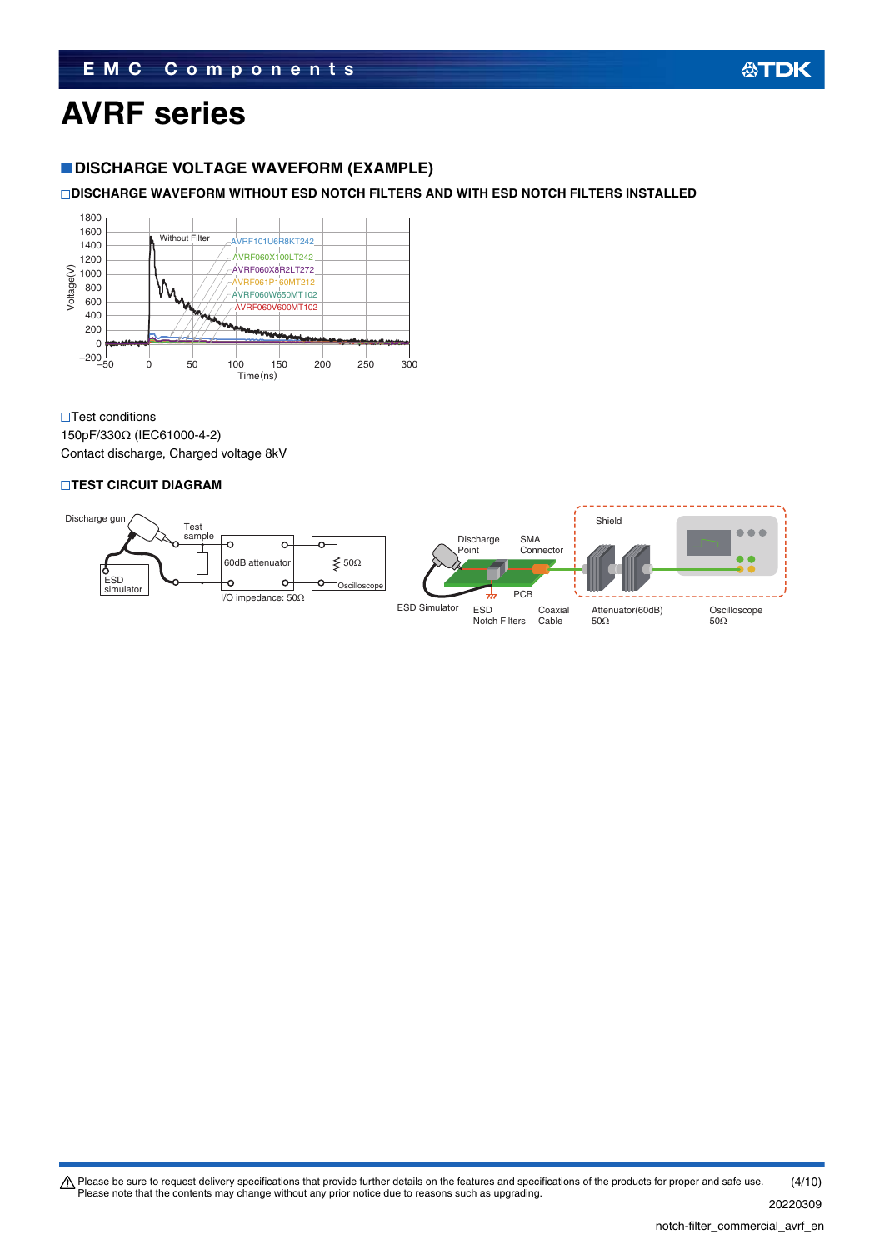# **EMC Components**

# 公TDK

# **AVRF series**

# **DISCHARGE VOLTAGE WAVEFORM (EXAMPLE)**

# **DISCHARGE WAVEFORM WITHOUT ESD NOTCH FILTERS AND WITH ESD NOTCH FILTERS INSTALLED**



**□Test conditions** 

150pF/330Ω (IEC61000-4-2) Contact discharge, Charged voltage 8kV

## **TEST CIRCUIT DIAGRAM**

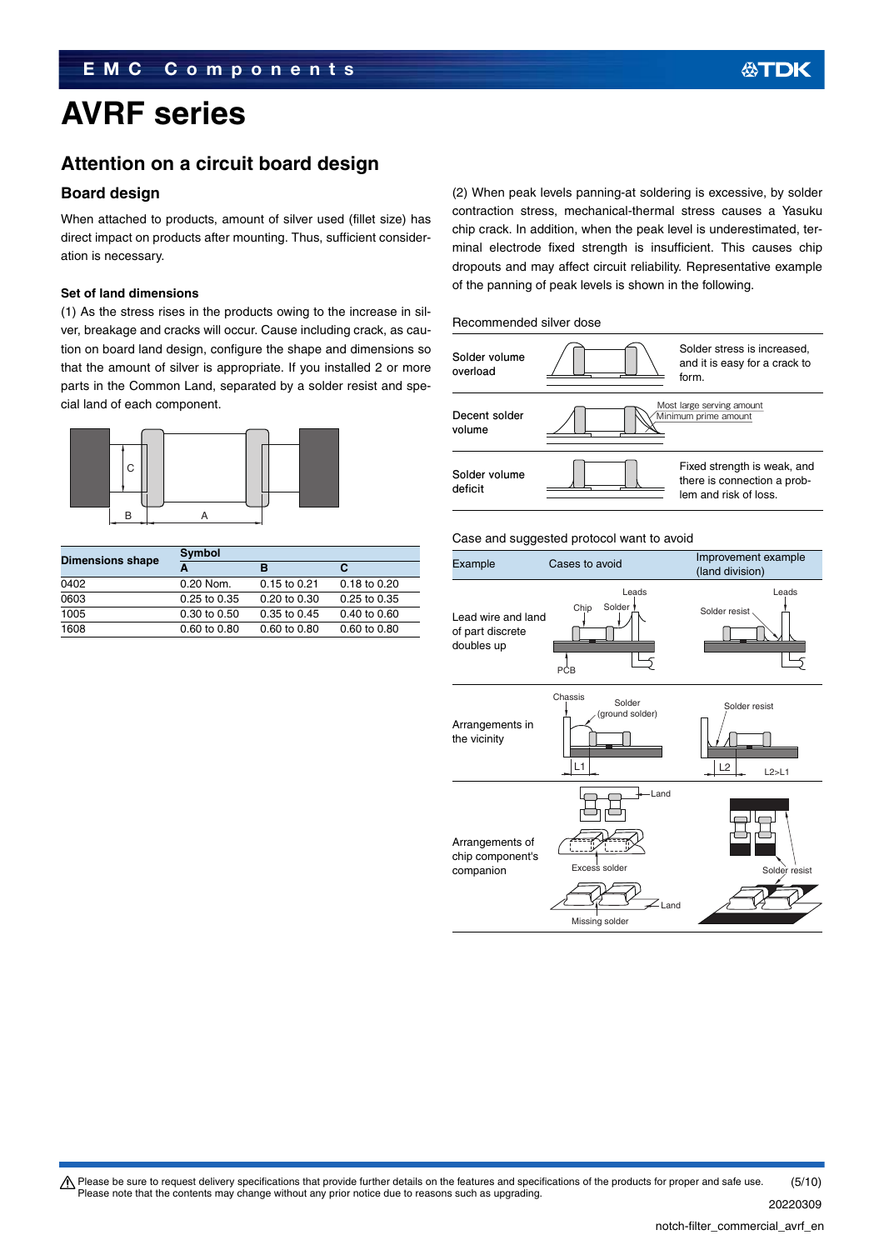# **Attention on a circuit board design**

## **Board design**

When attached to products, amount of silver used (fillet size) has direct impact on products after mounting. Thus, sufficient consideration is necessary.

### **Set of land dimensions**

(1) As the stress rises in the products owing to the increase in silver, breakage and cracks will occur. Cause including crack, as caution on board land design, configure the shape and dimensions so that the amount of silver is appropriate. If you installed 2 or more parts in the Common Land, separated by a solder resist and special land of each component.



|                         | Symbol           |                  |              |  |
|-------------------------|------------------|------------------|--------------|--|
| <b>Dimensions shape</b> |                  | в                | С            |  |
| 0402                    | 0.20 Nom.        | $0.15$ to $0.21$ | 0.18 to 0.20 |  |
| 0603                    | $0.25$ to $0.35$ | 0.20 to 0.30     | 0.25 to 0.35 |  |
| 1005                    | 0.30 to 0.50     | $0.35$ to $0.45$ | 0.40 to 0.60 |  |
| 1608                    | 0.60 to 0.80     | 0.60 to 0.80     | 0.60 to 0.80 |  |

(2) When peak levels panning-at soldering is excessive, by solder contraction stress, mechanical-thermal stress causes a Yasuku chip crack. In addition, when the peak level is underestimated, terminal electrode fixed strength is insufficient. This causes chip dropouts and may affect circuit reliability. Representative example of the panning of peak levels is shown in the following.

### Recommended silver dose



### Case and suggested protocol want to avoid

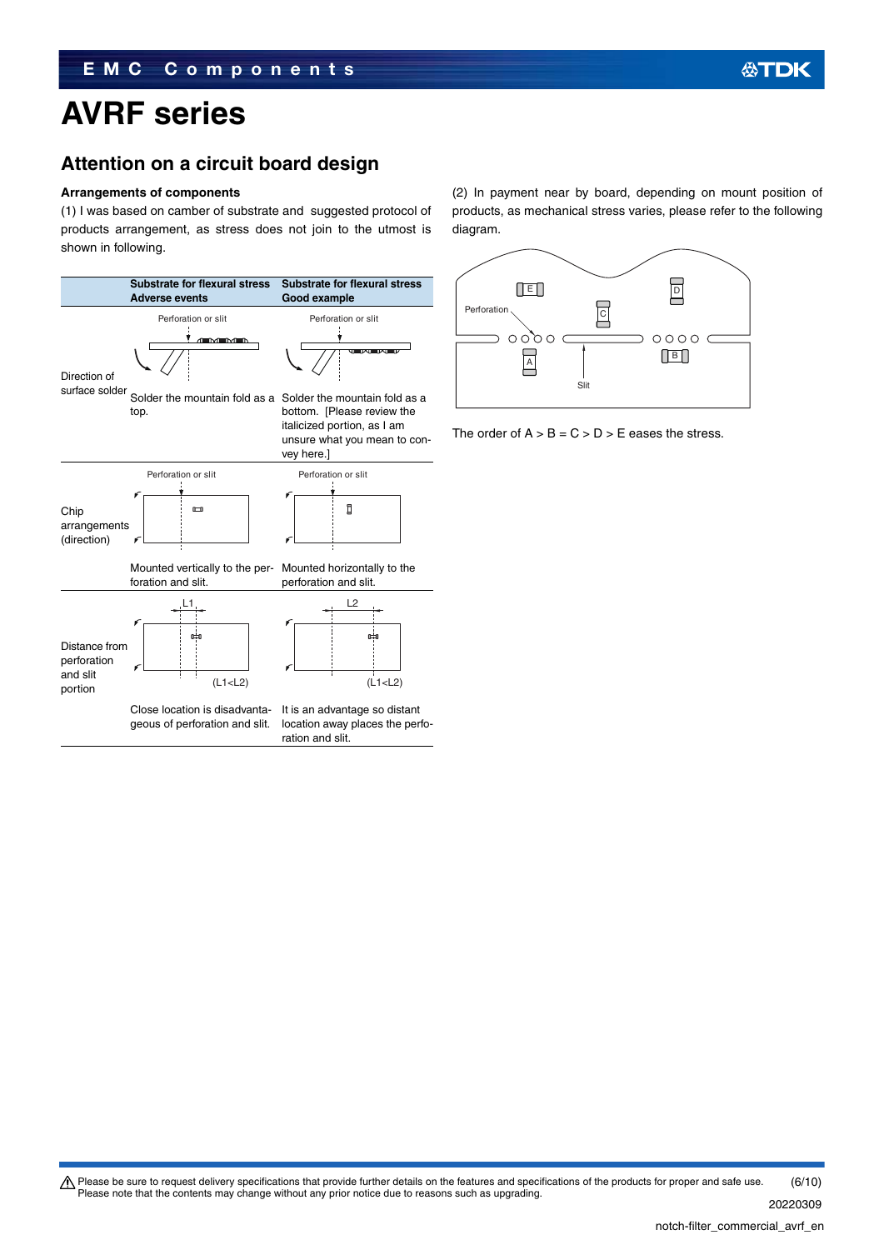# **Attention on a circuit board design**

### **Arrangements of components**

(1) I was based on camber of substrate and suggested protocol of products arrangement, as stress does not join to the utmost is shown in following.



(2) In payment near by board, depending on mount position of products, as mechanical stress varies, please refer to the following diagram.



The order of  $A > B = C > D > E$  eases the stress.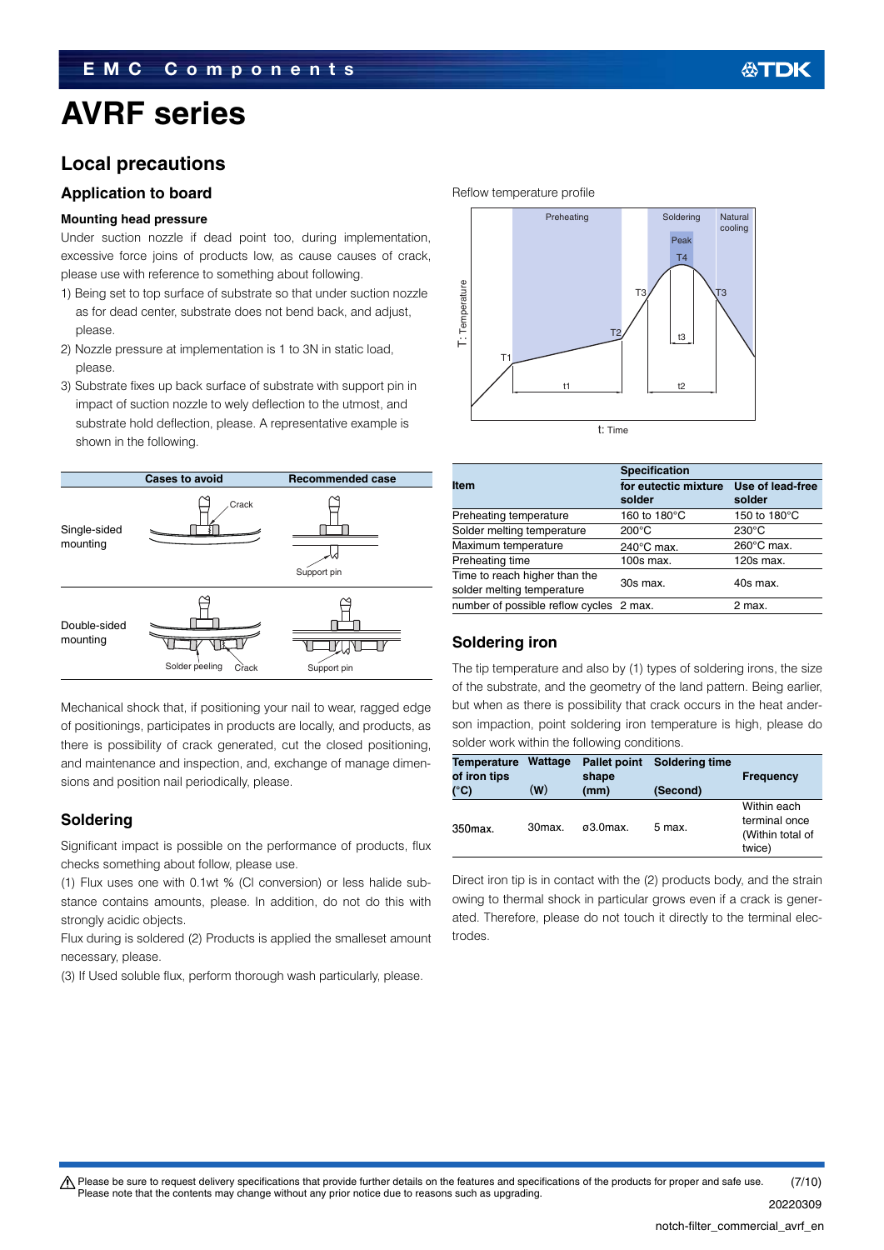# **Local precautions**

# **Application to board**

### **Mounting head pressure**

Under suction nozzle if dead point too, during implementation, excessive force joins of products low, as cause causes of crack, please use with reference to something about following.

- 1) Being set to top surface of substrate so that under suction nozzle as for dead center, substrate does not bend back, and adjust, please.
- 2) Nozzle pressure at implementation is 1 to 3N in static load, please.
- 3) Substrate fixes up back surface of substrate with support pin in impact of suction nozzle to wely deflection to the utmost, and substrate hold deflection, please. A representative example is shown in the following.



Mechanical shock that, if positioning your nail to wear, ragged edge of positionings, participates in products are locally, and products, as there is possibility of crack generated, cut the closed positioning, and maintenance and inspection, and, exchange of manage dimensions and position nail periodically, please.

# **Soldering**

Significant impact is possible on the performance of products, flux checks something about follow, please use.

(1) Flux uses one with 0.1wt % (Cl conversion) or less halide substance contains amounts, please. In addition, do not do this with strongly acidic objects.

Flux during is soldered (2) Products is applied the smalleset amount necessary, please.

(3) If Used soluble flux, perform thorough wash particularly, please.



|                                         | <b>Specification</b> |                  |  |  |
|-----------------------------------------|----------------------|------------------|--|--|
| Item                                    | for eutectic mixture | Use of lead-free |  |  |
|                                         | solder               | solder           |  |  |
| Preheating temperature                  | 160 to 180°C         | 150 to 180°C     |  |  |
| Solder melting temperature              | $200^{\circ}$ C      | $230^{\circ}$ C  |  |  |
| Maximum temperature                     | $240^{\circ}$ C max. | 260°C max.       |  |  |
| Preheating time                         | 100s max.            | $120s$ max.      |  |  |
| Time to reach higher than the           | 30s max.             | 40s max.         |  |  |
| solder melting temperature              |                      |                  |  |  |
| number of possible reflow cycles 2 max. |                      | 2 max.           |  |  |

# **Soldering iron**

The tip temperature and also by (1) types of soldering irons, the size of the substrate, and the geometry of the land pattern. Being earlier, but when as there is possibility that crack occurs in the heat anderson impaction, point soldering iron temperature is high, please do solder work within the following conditions.

| <b>Temperature</b><br>of iron tips | Wattage           | <b>Pallet point</b><br>shape | <b>Soldering time</b> | <b>Frequency</b>                                           |
|------------------------------------|-------------------|------------------------------|-----------------------|------------------------------------------------------------|
| $(^{\circ}C)$                      | (W)               | (mm)                         | (Second)              |                                                            |
| 350max.                            | 30 <sub>max</sub> | $\alpha$ 3.0 max.            | 5 max.                | Within each<br>terminal once<br>(Within total of<br>twice) |

Direct iron tip is in contact with the (2) products body, and the strain owing to thermal shock in particular grows even if a crack is generated. Therefore, please do not touch it directly to the terminal electrodes.

### t Please be sure to request delivery specifications that provide further details on the features and specifications of the products for proper and safe use. Please note that the contents may change without any prior notice due to reasons such as upgrading. (7/10)

20220309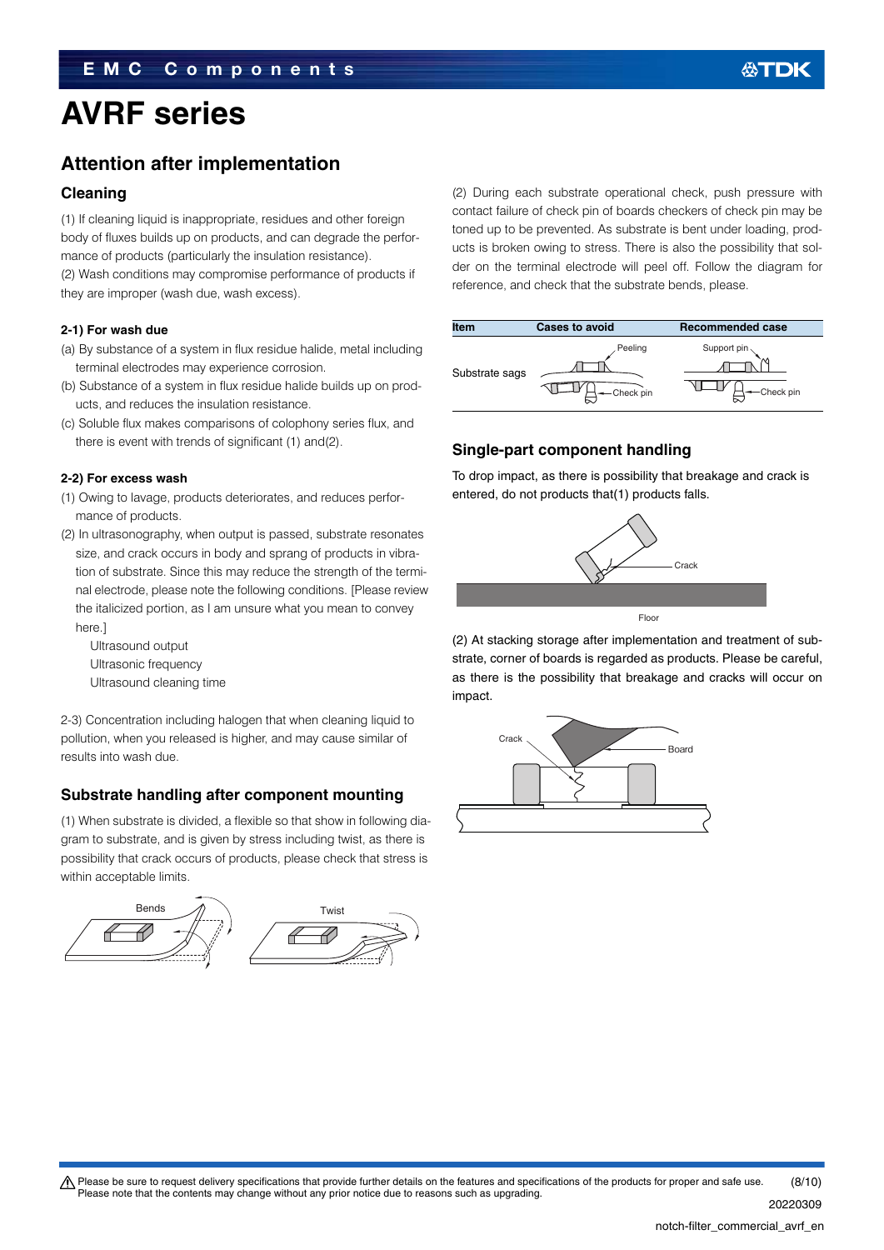# **Attention after implementation**

## **Cleaning**

(1) If cleaning liquid is inappropriate, residues and other foreign body of fluxes builds up on products, and can degrade the performance of products (particularly the insulation resistance). (2) Wash conditions may compromise performance of products if they are improper (wash due, wash excess).

### **2-1) For wash due**

- (a) By substance of a system in flux residue halide, metal including terminal electrodes may experience corrosion.
- (b) Substance of a system in flux residue halide builds up on products, and reduces the insulation resistance.
- (c) Soluble flux makes comparisons of colophony series flux, and there is event with trends of significant (1) and(2).

### **2-2) For excess wash**

- (1) Owing to lavage, products deteriorates, and reduces performance of products.
- (2) In ultrasonography, when output is passed, substrate resonates size, and crack occurs in body and sprang of products in vibration of substrate. Since this may reduce the strength of the terminal electrode, please note the following conditions. [Please review the italicized portion, as I am unsure what you mean to convey here.]

Ultrasound output Ultrasonic frequency Ultrasound cleaning time

2-3) Concentration including halogen that when cleaning liquid to pollution, when you released is higher, and may cause similar of results into wash due.

# **Substrate handling after component mounting**

(1) When substrate is divided, a flexible so that show in following diagram to substrate, and is given by stress including twist, as there is possibility that crack occurs of products, please check that stress is within acceptable limits.



(2) During each substrate operational check, push pressure with contact failure of check pin of boards checkers of check pin may be toned up to be prevented. As substrate is bent under loading, products is broken owing to stress. There is also the possibility that solder on the terminal electrode will peel off. Follow the diagram for reference, and check that the substrate bends, please.

| <b>Item</b>    | <b>Cases to avoid</b> | <b>Recommended case</b>                |
|----------------|-----------------------|----------------------------------------|
| Substrate sags | Peeling<br>Check pin  | Support pin $\backslash$<br>-Check pin |

# **Single-part component handling**

To drop impact, as there is possibility that breakage and crack is entered, do not products that(1) products falls.



(2) At stacking storage after implementation and treatment of substrate, corner of boards is regarded as products. Please be careful, as there is the possibility that breakage and cracks will occur on impact.



 $\triangle$  Please be sure to request delivery specifications that provide further details on the features and specifications of the products for proper and safe use. Please note that the contents may change without any prior notice due to reasons such as upgrading. (8/10)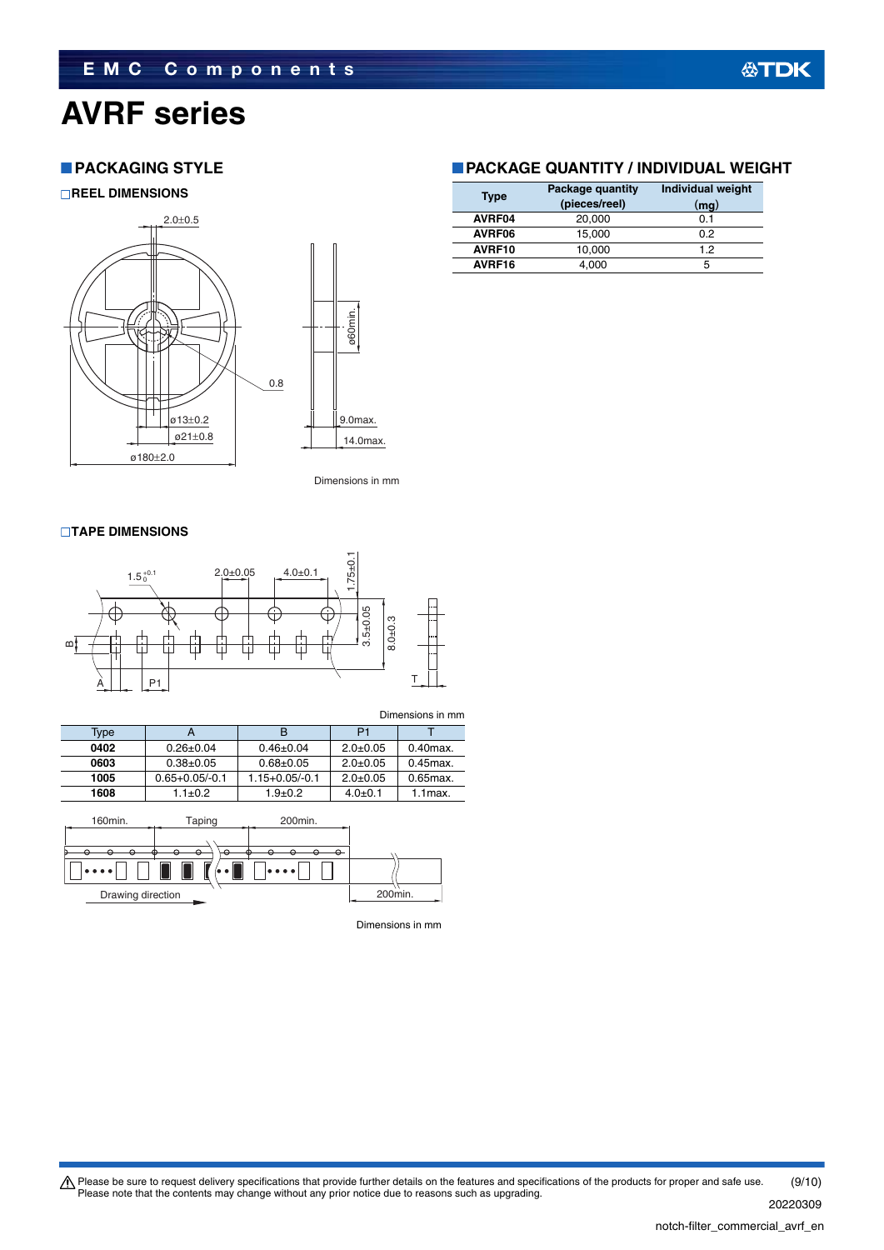# **PACKAGING STYLE**

**REEL DIMENSIONS**



Dimensions in mm

### **TAPE DIMENSIONS**



|                                                                                                |                    |                    |                | Dimensions in mm |  |
|------------------------------------------------------------------------------------------------|--------------------|--------------------|----------------|------------------|--|
| Type                                                                                           | А                  | B                  | P <sub>1</sub> |                  |  |
| 0402                                                                                           | $0.26 \pm 0.04$    | $0.46 \pm 0.04$    | $2.0 \pm 0.05$ | $0.40$ max.      |  |
| 0603                                                                                           | $0.38 \pm 0.05$    | $0.68 + 0.05$      | $2.0 + 0.05$   | $0.45$ $max.$    |  |
| 1005                                                                                           | $0.65 + 0.05/-0.1$ | $1.15 + 0.05/-0.1$ | $2.0 + 0.05$   | $0.65$ max.      |  |
| 1608                                                                                           | $1.1 \pm 0.2$      | $1.9 + 0.2$        | $4.0 + 0.1$    | $1.1$ max.       |  |
| 160 <sub>min.</sub><br>Taping<br>200 <sub>min.</sub><br>$\Theta$<br>Ő<br>$\scriptstyle\bullet$ |                    |                    |                |                  |  |
|                                                                                                |                    |                    |                |                  |  |



Dimensions in mm

## **PACKAGE QUANTITY / INDIVIDUAL WEIGHT**

| <b>Type</b> | Package quantity<br>(pieces/reel) | <b>Individual weight</b><br>(mg) |
|-------------|-----------------------------------|----------------------------------|
| AVRF04      | 20,000                            | 0.1                              |
| AVRF06      | 15.000                            | 0.2                              |
| AVRF10      | 10,000                            | 1.2                              |
| AVRF16      | 4,000                             | 5                                |

Please be sure to request delivery specifications that provide further details on the features and specifications of the products for proper and safe use.<br>Please note that the contents may change without any prior notice d (9/10)